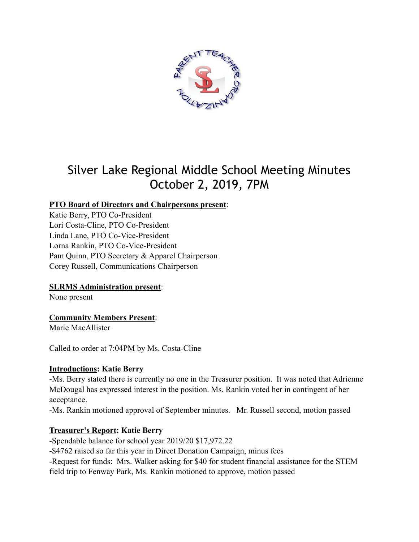

# Silver Lake Regional Middle School Meeting Minutes October 2, 2019, 7PM

# **PTO Board of Directors and Chairpersons present**:

Katie Berry, PTO Co-President Lori Costa-Cline, PTO Co-President Linda Lane, PTO Co-Vice-President Lorna Rankin, PTO Co-Vice-President Pam Quinn, PTO Secretary & Apparel Chairperson Corey Russell, Communications Chairperson

#### **SLRMS Administration present**:

None present

# **Community Members Present**:

Marie MacAllister

Called to order at 7:04PM by Ms. Costa-Cline

#### **Introductions: Katie Berry**

-Ms. Berry stated there is currently no one in the Treasurer position. It was noted that Adrienne McDougal has expressed interest in the position. Ms. Rankin voted her in contingent of her acceptance.

-Ms. Rankin motioned approval of September minutes. Mr. Russell second, motion passed

# **Treasurer's Report: Katie Berry**

-Spendable balance for school year 2019/20 \$17,972.22 -\$4762 raised so far this year in Direct Donation Campaign, minus fees -Request for funds: Mrs. Walker asking for \$40 for student financial assistance for the STEM field trip to Fenway Park, Ms. Rankin motioned to approve, motion passed